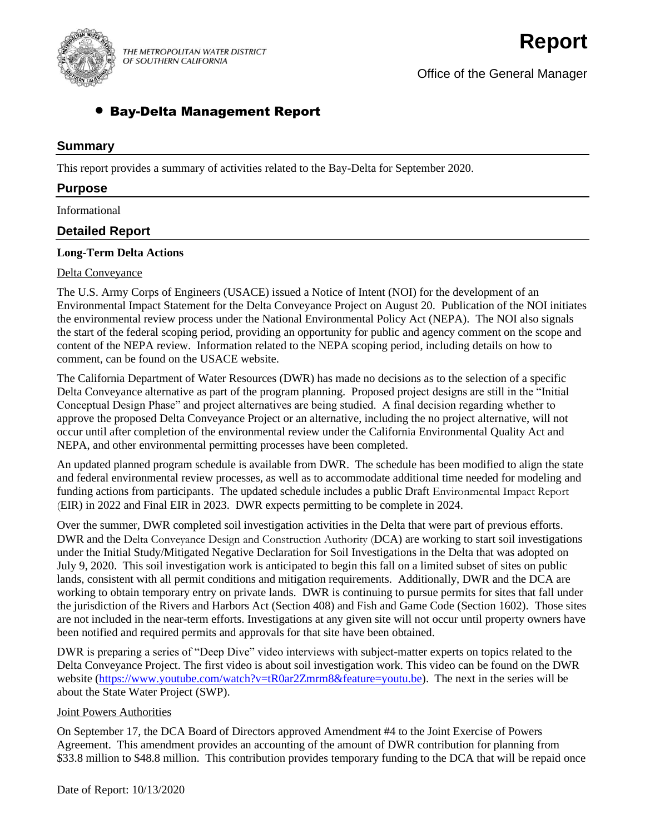

THE METROPOLITAN WATER DISTRICT OF SOUTHERN CALIFORNIA

Office of the General Manager

# • Bay-Delta Management Report

# **Summary**

This report provides a summary of activities related to the Bay-Delta for September 2020.

# **Purpose**

Informational

# **Detailed Report**

#### **Long-Term Delta Actions**

#### Delta Conveyance

The U.S. Army Corps of Engineers (USACE) issued a Notice of Intent (NOI) for the development of an Environmental Impact Statement for the Delta Conveyance Project on August 20. Publication of the NOI initiates the environmental review process under the National Environmental Policy Act (NEPA). The NOI also signals the start of the federal scoping period, providing an opportunity for public and agency comment on the scope and content of the NEPA review. Information related to the NEPA scoping period, including details on how to comment, can be found on the USACE website.

The California Department of Water Resources (DWR) has made no decisions as to the selection of a specific Delta Conveyance alternative as part of the program planning. Proposed project designs are still in the "Initial Conceptual Design Phase" and project alternatives are being studied. A final decision regarding whether to approve the proposed Delta Conveyance Project or an alternative, including the no project alternative, will not occur until after completion of the environmental review under the California Environmental Quality Act and NEPA, and other environmental permitting processes have been completed.

An updated planned program schedule is available from DWR. The schedule has been modified to align the state and federal environmental review processes, as well as to accommodate additional time needed for modeling and funding actions from participants. The updated schedule includes a public Draft Environmental Impact Report (EIR) in 2022 and Final EIR in 2023. DWR expects permitting to be complete in 2024.

Over the summer, DWR completed soil investigation activities in the Delta that were part of previous efforts. DWR and the Delta Conveyance Design and Construction Authority (DCA) are working to start soil investigations under the Initial Study/Mitigated Negative Declaration for Soil Investigations in the Delta that was adopted on July 9, 2020. This soil investigation work is anticipated to begin this fall on a limited subset of sites on public lands, consistent with all permit conditions and mitigation requirements. Additionally, DWR and the DCA are working to obtain temporary entry on private lands. DWR is continuing to pursue permits for sites that fall under the jurisdiction of the Rivers and Harbors Act (Section 408) and Fish and Game Code (Section 1602). Those sites are not included in the near-term efforts. Investigations at any given site will not occur until property owners have been notified and required permits and approvals for that site have been obtained.

DWR is preparing a series of "Deep Dive" video interviews with subject-matter experts on topics related to the Delta Conveyance Project. The first video is about soil investigation work. This video can be found on the DWR website [\(https://www.youtube.com/watch?v=tR0ar2Zmrm8&feature=youtu.be\)](https://www.youtube.com/watch?v=tR0ar2Zmrm8&feature=youtu.be). The next in the series will be about the State Water Project (SWP).

#### Joint Powers Authorities

On September 17, the DCA Board of Directors approved Amendment #4 to the Joint Exercise of Powers Agreement. This amendment provides an accounting of the amount of DWR contribution for planning from \$33.8 million to \$48.8 million. This contribution provides temporary funding to the DCA that will be repaid once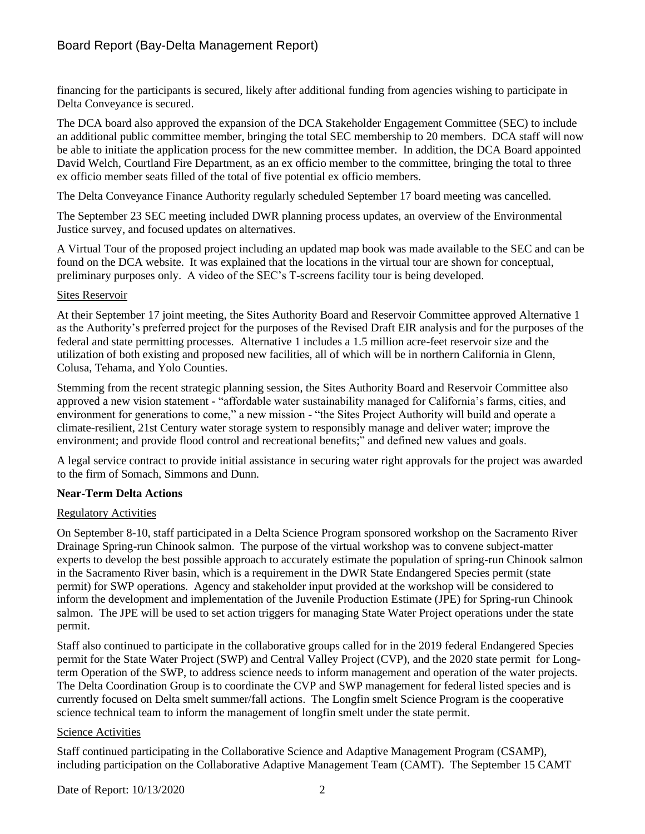financing for the participants is secured, likely after additional funding from agencies wishing to participate in Delta Conveyance is secured.

The DCA board also approved the expansion of the DCA Stakeholder Engagement Committee (SEC) to include an additional public committee member, bringing the total SEC membership to 20 members. DCA staff will now be able to initiate the application process for the new committee member. In addition, the DCA Board appointed David Welch, Courtland Fire Department, as an ex officio member to the committee, bringing the total to three ex officio member seats filled of the total of five potential ex officio members.

The Delta Conveyance Finance Authority regularly scheduled September 17 board meeting was cancelled.

The September 23 SEC meeting included DWR planning process updates, an overview of the Environmental Justice survey, and focused updates on alternatives.

A Virtual Tour of the proposed project including an updated map book was made available to the SEC and can be found on the DCA website. It was explained that the locations in the virtual tour are shown for conceptual, preliminary purposes only. A video of the SEC's T-screens facility tour is being developed.

## Sites Reservoir

At their September 17 joint meeting, the Sites Authority Board and Reservoir Committee approved Alternative 1 as the Authority's preferred project for the purposes of the Revised Draft EIR analysis and for the purposes of the federal and state permitting processes. Alternative 1 includes a 1.5 million acre-feet reservoir size and the utilization of both existing and proposed new facilities, all of which will be in northern California in Glenn, Colusa, Tehama, and Yolo Counties.

Stemming from the recent strategic planning session, the Sites Authority Board and Reservoir Committee also approved a new vision statement - "affordable water sustainability managed for California's farms, cities, and environment for generations to come," a new mission - "the Sites Project Authority will build and operate a climate-resilient, 21st Century water storage system to responsibly manage and deliver water; improve the environment; and provide flood control and recreational benefits;" and defined new values and goals.

A legal service contract to provide initial assistance in securing water right approvals for the project was awarded to the firm of Somach, Simmons and Dunn.

## **Near-Term Delta Actions**

## Regulatory Activities

On September 8-10, staff participated in a Delta Science Program sponsored workshop on the Sacramento River Drainage Spring-run Chinook salmon. The purpose of the virtual workshop was to convene subject-matter experts to develop the best possible approach to accurately estimate the population of spring-run Chinook salmon in the Sacramento River basin, which is a requirement in the DWR State Endangered Species permit (state permit) for SWP operations. Agency and stakeholder input provided at the workshop will be considered to inform the development and implementation of the Juvenile Production Estimate (JPE) for Spring-run Chinook salmon. The JPE will be used to set action triggers for managing State Water Project operations under the state permit.

Staff also continued to participate in the collaborative groups called for in the 2019 federal Endangered Species permit for the State Water Project (SWP) and Central Valley Project (CVP), and the 2020 state permit for Longterm Operation of the SWP, to address science needs to inform management and operation of the water projects. The Delta Coordination Group is to coordinate the CVP and SWP management for federal listed species and is currently focused on Delta smelt summer/fall actions. The Longfin smelt Science Program is the cooperative science technical team to inform the management of longfin smelt under the state permit.

#### Science Activities

Staff continued participating in the Collaborative Science and Adaptive Management Program (CSAMP), including participation on the Collaborative Adaptive Management Team (CAMT). The September 15 CAMT